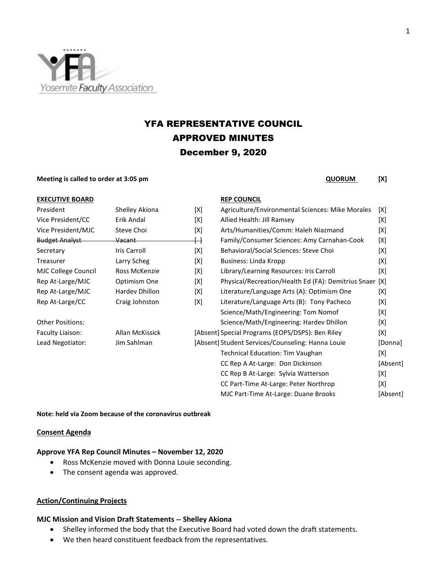

# YFA REPRESENTATIVE COUNCIL APPROVED MINUTES December 9, 2020

#### **Meeting is called to order at 3:05 pm CONSUM 2.000 PM QUORUM** [X]

| <b>EXECUTIVE BOARD</b>  |                   |                         | <b>REP COUNCIL</b>                                  |     |
|-------------------------|-------------------|-------------------------|-----------------------------------------------------|-----|
| President               | Shelley Akiona    | [X]                     | Agriculture/Environmental Sciences: Mike Morales    | [X] |
| Vice President/CC       | Erik Andal        | [X]                     | Allied Health: Jill Ramsey                          | [X] |
| Vice President/MJC      | Steve Choi        | [X]                     | Arts/Humanities/Comm: Haleh Niazmand                | [X] |
| <b>Budget Analyst</b>   | <del>Vacant</del> | $\overline{\mathsf{H}}$ | Family/Consumer Sciences: Amy Carnahan-Cook         | [X] |
| Secretary               | Iris Carroll      | [X]                     | Behavioral/Social Sciences: Steve Choi              | [X] |
| Treasurer               | Larry Scheg       | [X]                     | Business: Linda Kropp                               | [X] |
| MJC College Council     | Ross McKenzie     | [X]                     | Library/Learning Resources: Iris Carroll            | [X] |
| Rep At-Large/MJC        | Optimism One      | [X]                     | Physical/Recreation/Health Ed (FA): Demitrius Snaer | [X] |
| Rep At-Large/MJC        | Hardev Dhillon    | [X]                     | Literature/Language Arts (A): Optimism One          | [X] |
| Rep At-Large/CC         | Craig Johnston    | [X]                     | Literature/Language Arts (B): Tony Pacheco          | [X] |
|                         |                   |                         | Science/Math/Engineering: Tom Nomof                 | [X] |
| <b>Other Positions:</b> |                   |                         | Science/Math/Engineering: Hardev Dhillon            | [X] |
| Faculty Liaison:        | Allan McKissick   |                         | [Absent] Special Programs (EOPS/DSPS): Ben Riley    | [X] |
| Lead Negotiator:        | Jim Sahlman       |                         | [Absent] Student Services/Counseling: Hanna Louie   | [Dc |
|                         |                   |                         | <b>Technical Education: Tim Vaughan</b>             | [X] |
|                         |                   |                         | CC Rep A At-Large: Don Dickinson                    | [Ab |
|                         |                   |                         | CC Rep B At-Large: Sylvia Watterson                 | [X] |

# **EP COUNCIL**

| President             | Shelley Akiona      | [X] | Agriculture/Environmental Sciences: Mike Morales    | [X]      |
|-----------------------|---------------------|-----|-----------------------------------------------------|----------|
| Vice President/CC     | Erik Andal          | [X] | Allied Health: Jill Ramsey                          | [X]      |
| Vice President/MJC    | Steve Choi          | [X] | Arts/Humanities/Comm: Haleh Niazmand                | [X]      |
| <b>Budget Analyst</b> | <del>Vacant -</del> | ↔   | Family/Consumer Sciences: Amy Carnahan-Cook         | [X]      |
| Secretary             | Iris Carroll        | [X] | Behavioral/Social Sciences: Steve Choi              | [X]      |
| Treasurer             | Larry Scheg         | [X] | Business: Linda Kropp                               | [X]      |
| MJC College Council   | Ross McKenzie       | [X] | Library/Learning Resources: Iris Carroll            | [X]      |
| Rep At-Large/MJC      | Optimism One        | [X] | Physical/Recreation/Health Ed (FA): Demitrius Snaer | [X]      |
| Rep At-Large/MJC      | Hardev Dhillon      | [X] | Literature/Language Arts (A): Optimism One          | [X]      |
| Rep At-Large/CC       | Craig Johnston      | [X] | Literature/Language Arts (B): Tony Pacheco          | [X]      |
|                       |                     |     | Science/Math/Engineering: Tom Nomof                 | [X]      |
| Other Positions:      |                     |     | Science/Math/Engineering: Hardev Dhillon            | [X]      |
| Faculty Liaison:      | Allan McKissick     |     | [Absent] Special Programs (EOPS/DSPS): Ben Riley    | [X]      |
| Lead Negotiator:      | Jim Sahlman         |     | [Absent] Student Services/Counseling: Hanna Louie   |          |
|                       |                     |     | Technical Education: Tim Vaughan                    | [X]      |
|                       |                     |     | CC Rep A At-Large: Don Dickinson                    | [Absent] |
|                       |                     |     | CC Rep B At-Large: Sylvia Watterson                 | [X]      |
|                       |                     |     | CC Part-Time At-Large: Peter Northrop               | [X]      |
|                       |                     |     | MJC Part-Time At-Large: Duane Brooks                | [Absent] |
|                       |                     |     |                                                     |          |

#### **Note: held via Zoom because of the coronavirus outbreak**

#### **Consent Agenda**

#### **Approve YFA Rep Council Minutes – November 12, 2020**

- Ross McKenzie moved with Donna Louie seconding.
- The consent agenda was approved.

#### **Action/Continuing Projects**

### **MJC Mission and Vision Draft Statements -- Shelley Akiona**

- Shelley informed the body that the Executive Board had voted down the draft statements.
- We then heard constituent feedback from the representatives.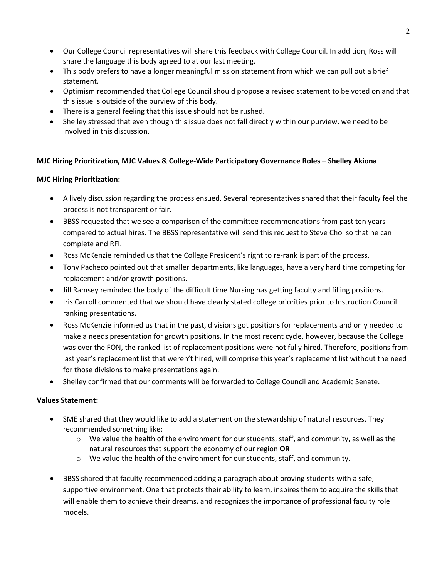- Our College Council representatives will share this feedback with College Council. In addition, Ross will share the language this body agreed to at our last meeting.
- This body prefers to have a longer meaningful mission statement from which we can pull out a brief statement.
- Optimism recommended that College Council should propose a revised statement to be voted on and that this issue is outside of the purview of this body.
- There is a general feeling that this issue should not be rushed.
- Shelley stressed that even though this issue does not fall directly within our purview, we need to be involved in this discussion.

# **MJC Hiring Prioritization, MJC Values & College-Wide Participatory Governance Roles – Shelley Akiona**

# **MJC Hiring Prioritization:**

- A lively discussion regarding the process ensued. Several representatives shared that their faculty feel the process is not transparent or fair.
- BBSS requested that we see a comparison of the committee recommendations from past ten years compared to actual hires. The BBSS representative will send this request to Steve Choi so that he can complete and RFI.
- Ross McKenzie reminded us that the College President's right to re-rank is part of the process.
- Tony Pacheco pointed out that smaller departments, like languages, have a very hard time competing for replacement and/or growth positions.
- Jill Ramsey reminded the body of the difficult time Nursing has getting faculty and filling positions.
- Iris Carroll commented that we should have clearly stated college priorities prior to Instruction Council ranking presentations.
- Ross McKenzie informed us that in the past, divisions got positions for replacements and only needed to make a needs presentation for growth positions. In the most recent cycle, however, because the College was over the FON, the ranked list of replacement positions were not fully hired. Therefore, positions from last year's replacement list that weren't hired, will comprise this year's replacement list without the need for those divisions to make presentations again.
- Shelley confirmed that our comments will be forwarded to College Council and Academic Senate.

# **Values Statement:**

- SME shared that they would like to add a statement on the stewardship of natural resources. They recommended something like:
	- $\circ$  We value the health of the environment for our students, staff, and community, as well as the natural resources that support the economy of our region **OR**
	- $\circ$  We value the health of the environment for our students, staff, and community.
- BBSS shared that faculty recommended adding a paragraph about proving students with a safe, supportive environment. One that protects their ability to learn, inspires them to acquire the skills that will enable them to achieve their dreams, and recognizes the importance of professional faculty role models.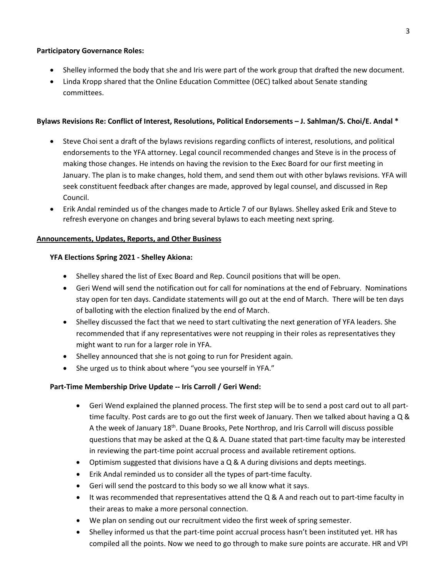### **Participatory Governance Roles:**

- Shelley informed the body that she and Iris were part of the work group that drafted the new document.
- Linda Kropp shared that the Online Education Committee (OEC) talked about Senate standing committees.

## **Bylaws Revisions Re: Conflict of Interest, Resolutions, Political Endorsements – J. Sahlman/S. Choi/E. Andal \***

- Steve Choi sent a draft of the bylaws revisions regarding conflicts of interest, resolutions, and political endorsements to the YFA attorney. Legal council recommended changes and Steve is in the process of making those changes. He intends on having the revision to the Exec Board for our first meeting in January. The plan is to make changes, hold them, and send them out with other bylaws revisions. YFA will seek constituent feedback after changes are made, approved by legal counsel, and discussed in Rep Council.
- Erik Andal reminded us of the changes made to Article 7 of our Bylaws. Shelley asked Erik and Steve to refresh everyone on changes and bring several bylaws to each meeting next spring.

### **Announcements, Updates, Reports, and Other Business**

### **YFA Elections Spring 2021 - Shelley Akiona:**

- Shelley shared the list of Exec Board and Rep. Council positions that will be open.
- Geri Wend will send the notification out for call for nominations at the end of February. Nominations stay open for ten days. Candidate statements will go out at the end of March. There will be ten days of balloting with the election finalized by the end of March.
- Shelley discussed the fact that we need to start cultivating the next generation of YFA leaders. She recommended that if any representatives were not reupping in their roles as representatives they might want to run for a larger role in YFA.
- Shelley announced that she is not going to run for President again.
- She urged us to think about where "you see yourself in YFA."

# **Part-Time Membership Drive Update -- Iris Carroll / Geri Wend:**

- Geri Wend explained the planned process. The first step will be to send a post card out to all parttime faculty. Post cards are to go out the first week of January. Then we talked about having a Q & A the week of January 18th. Duane Brooks, Pete Northrop, and Iris Carroll will discuss possible questions that may be asked at the Q & A. Duane stated that part-time faculty may be interested in reviewing the part-time point accrual process and available retirement options.
- Optimism suggested that divisions have a Q & A during divisions and depts meetings.
- Erik Andal reminded us to consider all the types of part-time faculty.
- Geri will send the postcard to this body so we all know what it says.
- It was recommended that representatives attend the Q & A and reach out to part-time faculty in their areas to make a more personal connection.
- We plan on sending out our recruitment video the first week of spring semester.
- Shelley informed us that the part-time point accrual process hasn't been instituted yet. HR has compiled all the points. Now we need to go through to make sure points are accurate. HR and VPI